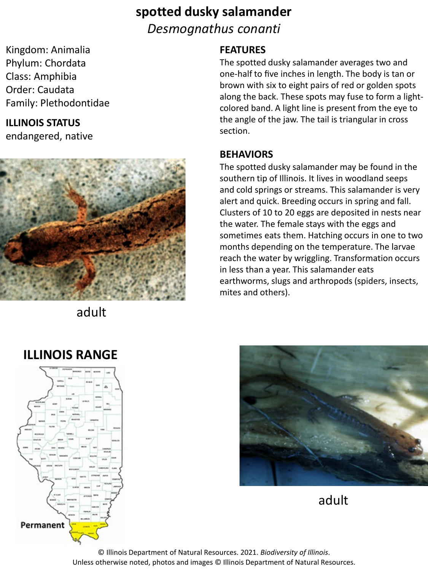# **spotted dusky salamander** *Desmognathus conanti*

Kingdom: Animalia Phylum: Chordata Class: Amphibia Order: Caudata Family: Plethodontidae

## **ILLINOIS STATUS**

endangered, native



adult

### **FEATURES**

The spotted dusky salamander averages two and one-half to five inches in length. The body is tan or brown with six to eight pairs of red or golden spots along the back. These spots may fuse to form a lightcolored band. A light line is present from the eye to the angle of the jaw. The tail is triangular in cross section.

#### **BEHAVIORS**

The spotted dusky salamander may be found in the southern tip of Illinois. It lives in woodland seeps and cold springs or streams. This salamander is very alert and quick. Breeding occurs in spring and fall. Clusters of 10 to 20 eggs are deposited in nests near the water. The female stays with the eggs and sometimes eats them. Hatching occurs in one to two months depending on the temperature. The larvae reach the water by wriggling. Transformation occurs in less than a year. This salamander eats earthworms, slugs and arthropods (spiders, insects, mites and others).



adult

# **ILLINOIS RANGE**



© Illinois Department of Natural Resources. 2021. *Biodiversity of Illinois*. Unless otherwise noted, photos and images © Illinois Department of Natural Resources.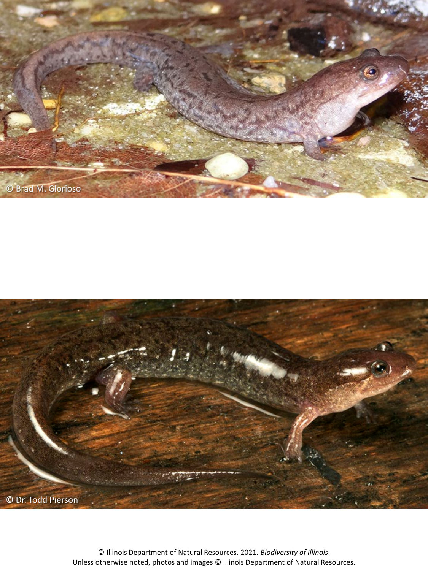



© Illinois Department of Natural Resources. 2021. *Biodiversity of Illinois*. Unless otherwise noted, photos and images © Illinois Department of Natural Resources.